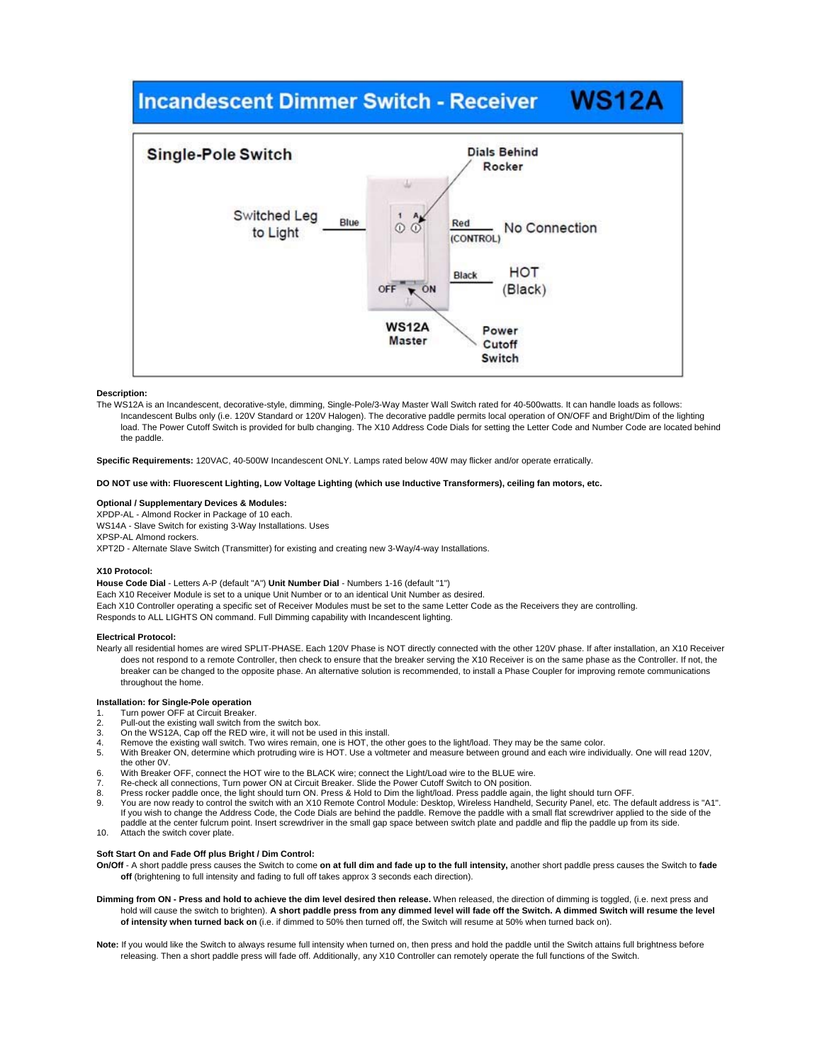# **WS12A Incandescent Dimmer Switch - Receiver**



# **Description:**

The WS12A is an Incandescent, decorative-style, dimming, Single-Pole/3-Way Master Wall Switch rated for 40-500watts. It can handle loads as follows: Incandescent Bulbs only (i.e. 120V Standard or 120V Halogen). The decorative paddle permits local operation of ON/OFF and Bright/Dim of the lighting load. The Power Cutoff Switch is provided for bulb changing. The X10 Address Code Dials for setting the Letter Code and Number Code are located behind the paddle.

**Specific Requirements:** 120VAC, 40-500W Incandescent ONLY. Lamps rated below 40W may flicker and/or operate erratically.

# **DO NOT use with: Fluorescent Lighting, Low Voltage Lighting (which use Inductive Transformers), ceiling fan motors, etc.**

# **Optional / Supplementary Devices & Modules:**

XPDP-AL - Almond Rocker in Package of 10 each. WS14A - Slave Switch for existing 3-Way Installations. Uses XPSP-AL Almond rockers. XPT2D - Alternate Slave Switch (Transmitter) for existing and creating new 3-Way/4-way Installations.

#### **X10 Protocol:**

**House Code Dial** - Letters A-P (default "A") **Unit Number Dial** - Numbers 1-16 (default "1") Each X10 Receiver Module is set to a unique Unit Number or to an identical Unit Number as desired. Each X10 Controller operating a specific set of Receiver Modules must be set to the same Letter Code as the Receivers they are controlling. Responds to ALL LIGHTS ON command. Full Dimming capability with Incandescent lighting.

## **Electrical Protocol:**

Nearly all residential homes are wired SPLIT-PHASE. Each 120V Phase is NOT directly connected with the other 120V phase. If after installation, an X10 Receiver does not respond to a remote Controller, then check to ensure that the breaker serving the X10 Receiver is on the same phase as the Controller. If not, the breaker can be changed to the opposite phase. An alternative solution is recommended, to install a Phase Coupler for improving remote communications throughout the home.

# **Installation: for Single-Pole operation**

- 1. Turn power OFF at Circuit Breaker.<br>2. Pull-out the existing wall switch fron
- Pull-out the existing wall switch from the switch box.
- 3. On the WS12A, Cap off the RED wire, it will not be used in this install.<br>4. Remove the existing wall switch Two wires remain one is HOT, the o
- Remove the existing wall switch. Two wires remain, one is HOT, the other goes to the light/load. They may be the same color.
- 5. With Breaker ON, determine which protruding wire is HOT. Use a voltmeter and measure between ground and each wire individually. One will read 120V, the other 0V.
- 6. With Breaker OFF, connect the HOT wire to the BLACK wire; connect the Light/Load wire to the BLUE wire.
- 7. Re-check all connections, Turn power ON at Circuit Breaker. Slide the Power Cutoff Switch to ON position.
- 8. Press rocker paddle once, the light should turn ON. Press & Hold to Dim the light/load. Press paddle again, the light should turn OFF. 9. You are now ready to control the switch with an X10 Remote Control Module: Desktop, Wireless Handheld, Security Panel, etc. The default address is "A1". If you wish to change the Address Code, the Code Dials are behind the paddle. Remove the paddle with a small flat screwdriver applied to the side of the
- paddle at the center fulcrum point. Insert screwdriver in the small gap space between switch plate and paddle and flip the paddle up from its side. 10. Attach the switch cover plate.

# **Soft Start On and Fade Off plus Bright / Dim Control:**

**On/Off** - A short paddle press causes the Switch to come **on at full dim and fade up to the full intensity,** another short paddle press causes the Switch to **fade**  off (brightening to full intensity and fading to full off takes approx 3 seconds each direction).

- **Dimming from ON Press and hold to achieve the dim level desired then release.** When released, the direction of dimming is toggled, (i.e. next press and hold will cause the switch to brighten). **A short paddle press from any dimmed level will fade off the Switch. A dimmed Switch will resume the level of intensity when turned back on** (i.e. if dimmed to 50% then turned off, the Switch will resume at 50% when turned back on).
- **Note:** If you would like the Switch to always resume full intensity when turned on, then press and hold the paddle until the Switch attains full brightness before releasing. Then a short paddle press will fade off. Additionally, any X10 Controller can remotely operate the full functions of the Switch.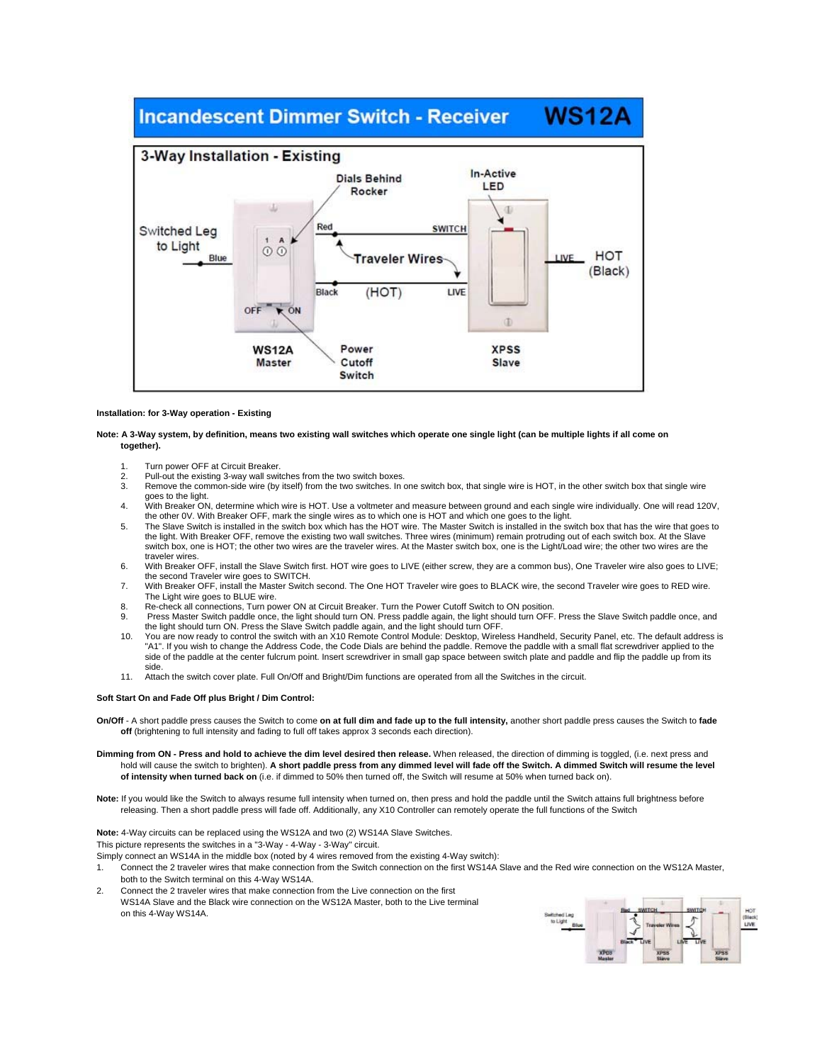## **WS12A Incandescent Dimmer Switch - Receiver**



# **Installation: for 3-Way operation - Existing**

**Note: A 3-Way system, by definition, means two existing wall switches which operate one single light (can be multiple lights if all come on together).** 

- 1. Turn power OFF at Circuit Breaker.
- 2. Pull-out the existing 3-way wall switches from the two switch boxes.<br>3. Remove the common-side wire (by itself) from the two switches. In a
- Remove the common-side wire (by itself) from the two switches. In one switch box, that single wire is HOT, in the other switch box that single wire goes to the light.
- 4. With Breaker ON, determine which wire is HOT. Use a voltmeter and measure between ground and each single wire individually. One will read 120V, the other 0V. With Breaker OFF, mark the single wires as to which one is HOT and which one goes to the light.
- 5. The Slave Switch is installed in the switch box which has the HOT wire. The Master Switch is installed in the switch box that has the wire that goes to the light. With Breaker OFF, remove the existing two wall switches. Three wires (minimum) remain protruding out of each switch box. At the Slave switch box, one is HOT; the other two wires are the traveler wires. At the Master switch box, one is the Light/Load wire; the other two wires are the traveler wires.
- 6. With Breaker OFF, install the Slave Switch first. HOT wire goes to LIVE (either screw, they are a common bus), One Traveler wire also goes to LIVE; the second Traveler wire goes to SWITCH.
- 7. With Breaker OFF, install the Master Switch second. The One HOT Traveler wire goes to BLACK wire, the second Traveler wire goes to RED wire. The Light wire goes to BLUE wire.
- 8. Re-check all connections, Turn power ON at Circuit Breaker. Turn the Power Cutoff Switch to ON position.
- 9. Press Master Switch paddle once, the light should turn ON. Press paddle again, the light should turn OFF. Press the Slave Switch paddle once, and the light should turn ON. Press the Slave Switch paddle again, and the light should turn OFF.
- 10. You are now ready to control the switch with an X10 Remote Control Module: Desktop, Wireless Handheld, Security Panel, etc. The default address is "A1". If you wish to change the Address Code, the Code Dials are behind the paddle. Remove the paddle with a small flat screwdriver applied to the<br>side of the paddle at the center fulcrum point. Insert screwdriver in small side.
- 11. Attach the switch cover plate. Full On/Off and Bright/Dim functions are operated from all the Switches in the circuit.

#### **Soft Start On and Fade Off plus Bright / Dim Control:**

- **On/Off**  A short paddle press causes the Switch to come **on at full dim and fade up to the full intensity,** another short paddle press causes the Switch to **fade off** (brightening to full intensity and fading to full off takes approx 3 seconds each direction).
- **Dimming from ON Press and hold to achieve the dim level desired then release.** When released, the direction of dimming is toggled, (i.e. next press and hold will cause the switch to brighten). **A short paddle press from any dimmed level will fade off the Switch. A dimmed Switch will resume the level of intensity when turned back on** (i.e. if dimmed to 50% then turned off, the Switch will resume at 50% when turned back on).
- **Note:** If you would like the Switch to always resume full intensity when turned on, then press and hold the paddle until the Switch attains full brightness before releasing. Then a short paddle press will fade off. Additionally, any X10 Controller can remotely operate the full functions of the Switch

**Note:** 4-Way circuits can be replaced using the WS12A and two (2) WS14A Slave Switches.

This picture represents the switches in a "3-Way - 4-Way - 3-Way" circuit.

Simply connect an WS14A in the middle box (noted by 4 wires removed from the existing 4-Way switch):

- 1. Connect the 2 traveler wires that make connection from the Switch connection on the first WS14A Slave and the Red wire connection on the WS12A Master, both to the Switch terminal on this 4-Way WS14A.
- 2. Connect the 2 traveler wires that make connection from the Live connection on the first WS14A Slave and the Black wire connection on the WS12A Master, both to the Live terminal on this 4-Way WS14A.

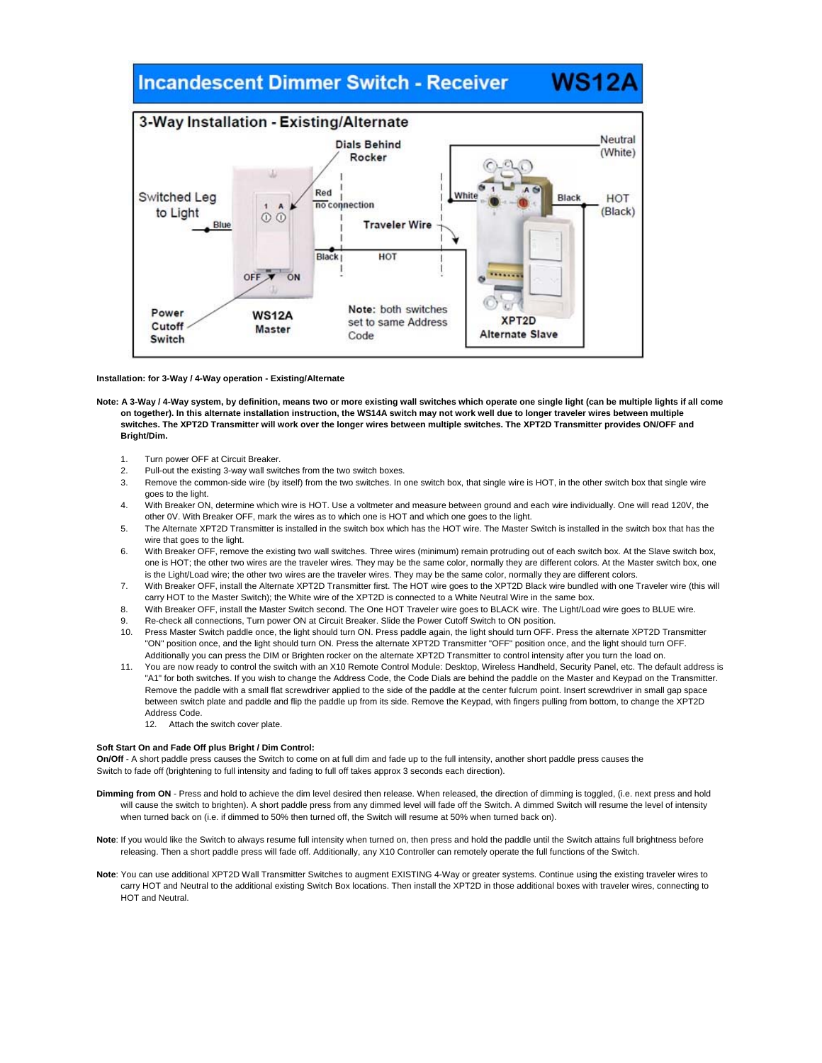# **Incandescent Dimmer Switch - Receiver**



**WS12** 

# **Installation: for 3-Way / 4-Way operation - Existing/Alternate**

- Note: A 3-Way / 4-Way system, by definition, means two or more existing wall switches which operate one single light (can be multiple lights if all come **on together). In this alternate installation instruction, the WS14A switch may not work well due to longer traveler wires between multiple switches. The XPT2D Transmitter will work over the longer wires between multiple switches. The XPT2D Transmitter provides ON/OFF and Bright/Dim.** 
	- 1. Turn power OFF at Circuit Breaker.
	- 2. Pull-out the existing 3-way wall switches from the two switch boxes.
	- 3. Remove the common-side wire (by itself) from the two switches. In one switch box, that single wire is HOT, in the other switch box that single wire goes to the light.
	- 4. With Breaker ON, determine which wire is HOT. Use a voltmeter and measure between ground and each wire individually. One will read 120V, the other 0V. With Breaker OFF, mark the wires as to which one is HOT and which one goes to the light.
	- 5. The Alternate XPT2D Transmitter is installed in the switch box which has the HOT wire. The Master Switch is installed in the switch box that has the wire that goes to the light.
	- 6. With Breaker OFF, remove the existing two wall switches. Three wires (minimum) remain protruding out of each switch box. At the Slave switch box, one is HOT; the other two wires are the traveler wires. They may be the same color, normally they are different colors. At the Master switch box, one is the Light/Load wire; the other two wires are the traveler wires. They may be the same color, normally they are different colors.
	- 7. With Breaker OFF, install the Alternate XPT2D Transmitter first. The HOT wire goes to the XPT2D Black wire bundled with one Traveler wire (this will carry HOT to the Master Switch); the White wire of the XPT2D is connected to a White Neutral Wire in the same box.
	- 8. With Breaker OFF, install the Master Switch second. The One HOT Traveler wire goes to BLACK wire. The Light/Load wire goes to BLUE wire.
	- 9. Re-check all connections, Turn power ON at Circuit Breaker. Slide the Power Cutoff Switch to ON position.
	- 10. Press Master Switch paddle once, the light should turn ON. Press paddle again, the light should turn OFF. Press the alternate XPT2D Transmitter "ON" position once, and the light should turn ON. Press the alternate XPT2D Transmitter "OFF" position once, and the light should turn OFF. Additionally you can press the DIM or Brighten rocker on the alternate XPT2D Transmitter to control intensity after you turn the load on.
	- 11. You are now ready to control the switch with an X10 Remote Control Module: Desktop, Wireless Handheld, Security Panel, etc. The default address is "A1" for both switches. If you wish to change the Address Code, the Code Dials are behind the paddle on the Master and Keypad on the Transmitter. Remove the paddle with a small flat screwdriver applied to the side of the paddle at the center fulcrum point. Insert screwdriver in small gap space between switch plate and paddle and flip the paddle up from its side. Remove the Keypad, with fingers pulling from bottom, to change the XPT2D Address Code.
		- 12. Attach the switch cover plate.

# **Soft Start On and Fade Off plus Bright / Dim Control:**

**On/Off** - A short paddle press causes the Switch to come on at full dim and fade up to the full intensity, another short paddle press causes the Switch to fade off (brightening to full intensity and fading to full off takes approx 3 seconds each direction).

- Dimming from ON Press and hold to achieve the dim level desired then release. When released, the direction of dimming is toggled, (i.e. next press and hold will cause the switch to brighten). A short paddle press from any dimmed level will fade off the Switch. A dimmed Switch will resume the level of intensity when turned back on (i.e. if dimmed to 50% then turned off, the Switch will resume at 50% when turned back on).
- **Note**: If you would like the Switch to always resume full intensity when turned on, then press and hold the paddle until the Switch attains full brightness before releasing. Then a short paddle press will fade off. Additionally, any X10 Controller can remotely operate the full functions of the Switch.
- **Note**: You can use additional XPT2D Wall Transmitter Switches to augment EXISTING 4-Way or greater systems. Continue using the existing traveler wires to carry HOT and Neutral to the additional existing Switch Box locations. Then install the XPT2D in those additional boxes with traveler wires, connecting to HOT and Neutral.